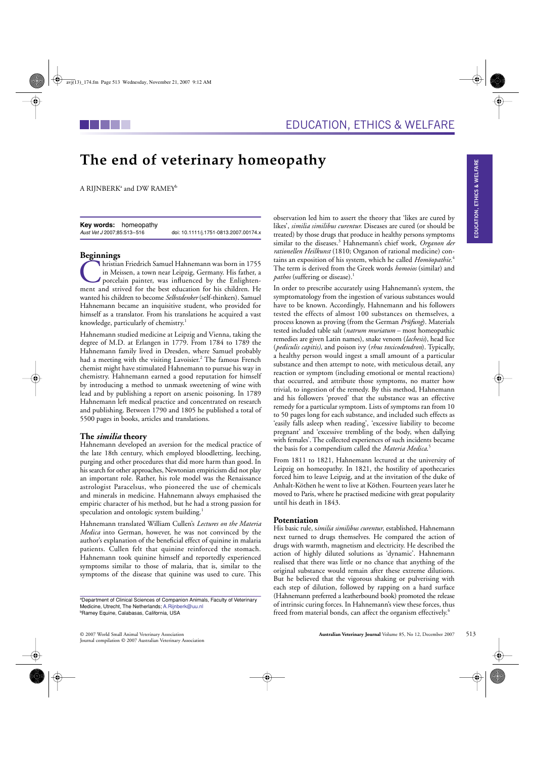# The end of veterinary homeopathy

A RIJNBERK<sup>a</sup> and DW RAMEY<sup>b</sup>

**Key words:** homeopathy<br>Aust Vet J 2007:85:513-516 *Aust Vet J* 2007;85:513–516 doi: 10.1111/j.1751-0813.2007.00174.x

#### **Beginnings**

Christian Friedrich Samuel Hahnemann was born in 1755 in Meissen, a town near Leipzig, Germany. His father, a porcelain painter, was influenced by the Enlightenment and strived for the best education for his children. He wanted his children to become *Selbstdenker* (self-thinkers). Samuel Hahnemann became an inquisitive student, who provided for himself as a translator. From his translations he acquired a vast knowledge, particularly of chemistry.<sup>1</sup>

Hahnemann studied medicine at Leipzig and Vienna, taking the degree of M.D. at Erlangen in 1779. From 1784 to 1789 the Hahnemann family lived in Dresden, where Samuel probably had a meeting with the visiting Lavoisier.<sup>2</sup> The famous French chemist might have stimulated Hahnemann to pursue his way in chemistry. Hahnemann earned a good reputation for himself by introducing a method to unmask sweetening of wine with lead and by publishing a report on arsenic poisoning. In 1789 Hahnemann left medical practice and concentrated on research and publishing. Between 1790 and 1805 he published a total of 5500 pages in books, articles and translations.

## **The** *similia* **theory**

Hahnemann developed an aversion for the medical practice of the late 18th century, which employed bloodletting, leeching, purging and other procedures that did more harm than good. In his search for other approaches, Newtonian empiricism did not play an important role. Rather, his role model was the Renaissance astrologist Paracelsus, who pioneered the use of chemicals and minerals in medicine. Hahnemann always emphasised the empiric character of his method, but he had a strong passion for speculation and ontologic system building.<sup>1</sup>

Hahnemann translated William Cullen's *Lectures on the Materia Medica* into German, however, he was not convinced by the author's explanation of the beneficial effect of quinine in malaria patients. Cullen felt that quinine reinforced the stomach. Hahnemann took quinine himself and reportedly experienced symptoms similar to those of malaria, that is, similar to the symptoms of the disease that quinine was used to cure. This

observation led him to assert the theory that 'likes are cured by likes', *similia similibus curentur.* Diseases are cured (or should be treated) by those drugs that produce in healthy persons symptoms similar to the diseases.3 Hahnemann's chief work, *Organon der rationellen Heilkunst* (1810; Organon of rational medicine) contains an exposition of his system, which he called *Homöopathie*. 4 The term is derived from the Greek words *homoios* (similar) and *pathos* (suffering or disease).<sup>1</sup>

In order to prescribe accurately using Hahnemann's system, the symptomatology from the ingestion of various substances would have to be known. Accordingly, Hahnemann and his followers tested the effects of almost 100 substances on themselves, a process known as proving (from the German *Prüfung*). Materials tested included table salt (*natrum muriatum* – most homeopathic remedies are given Latin names), snake venom (*lachesis*), head lice (*pediculis capitis)*, and poison ivy (*rhus toxicodendron*). Typically, a healthy person would ingest a small amount of a particular substance and then attempt to note, with meticulous detail, any reaction or symptom (including emotional or mental reactions) that occurred, and attribute those symptoms, no matter how trivial, to ingestion of the remedy. By this method, Hahnemann and his followers 'proved' that the substance was an effective remedy for a particular symptom. Lists of symptoms ran from 10 to 50 pages long for each substance, and included such effects as 'easily falls asleep when reading', 'excessive liability to become pregnant' and 'excessive trembling of the body, when dallying with females'. The collected experiences of such incidents became the basis for a compendium called the *Materia Medica*. 5

From 1811 to 1821, Hahnemann lectured at the university of Leipzig on homeopathy. In 1821, the hostility of apothecaries forced him to leave Leipzig, and at the invitation of the duke of Anhalt-Köthen he went to live at Köthen. Fourteen years later he moved to Paris, where he practised medicine with great popularity until his death in 1843.

## **Potentiation**

His basic rule, s*imilia similibus curentur*, established, Hahnemann next turned to drugs themselves. He compared the action of drugs with warmth, magnetism and electricity. He described the action of highly diluted solutions as 'dynamic'. Hahnemann realised that there was little or no chance that anything of the original substance would remain after these extreme dilutions. But he believed that the vigorous shaking or pulverising with each step of dilution, followed by rapping on a hard surface (Hahnemann preferred a leatherbound book) promoted the release of intrinsic curing forces. In Hahnemann's view these forces, thus freed from material bonds, can affect the organism effectively.<sup>6</sup>

<sup>&</sup>lt;sup>a</sup>Department of Clinical Sciences of Companion Animals, Faculty of Veterinary Medicine, Utrecht, The Netherlands; A.Rijnberk@uu.nl b Ramey Equine, Calabasas, California, USA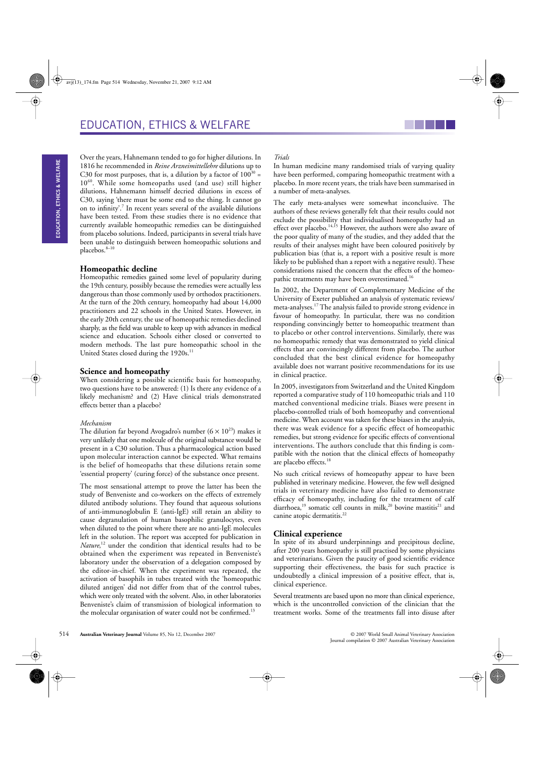

Over the years, Hahnemann tended to go for higher dilutions. In 1816 he recommended in *Reine Arzneimittellehre* dilutions up to C30 for most purposes, that is, a dilution by a factor of  $100^{30}$  = 10<sup>60</sup>. While some homeopaths used (and use) still higher dilutions, Hahnemann himself decried dilutions in excess of C30, saying 'there must be some end to the thing. It cannot go on to infinity'.<sup>7</sup> In recent years several of the available dilutions have been tested. From these studies there is no evidence that currently available homeopathic remedies can be distinguished from placebo solutions. Indeed, participants in several trials have been unable to distinguish between homeopathic solutions and placebos.8–10

## **Homeopathic decline**

Homeopathic remedies gained some level of popularity during the 19th century, possibly because the remedies were actually less dangerous than those commonly used by orthodox practitioners. At the turn of the 20th century, homeopathy had about 14,000 practitioners and 22 schools in the United States. However, in the early 20th century, the use of homeopathic remedies declined sharply, as the field was unable to keep up with advances in medical science and education. Schools either closed or converted to modern methods. The last pure homeopathic school in the United States closed during the 1920s.<sup>11</sup>

#### **Science and homeopathy**

When considering a possible scientific basis for homeopathy, two questions have to be answered: (1) Is there any evidence of a likely mechanism? and (2) Have clinical trials demonstrated effects better than a placebo?

#### *Mechanism*

The dilution far beyond Avogadro's number  $(6 \times 10^{23})$  makes it very unlikely that one molecule of the original substance would be present in a C30 solution. Thus a pharmacological action based upon molecular interaction cannot be expected. What remains is the belief of homeopaths that these dilutions retain some 'essential property' (curing force) of the substance once present.

The most sensational attempt to prove the latter has been the study of Benveniste and co-workers on the effects of extremely diluted antibody solutions. They found that aqueous solutions of anti-immunoglobulin E (anti-IgE) still retain an ability to cause degranulation of human basophilic granulocytes, even when diluted to the point where there are no anti-IgE molecules left in the solution. The report was accepted for publication in *Nature*, 12 under the condition that identical results had to be obtained when the experiment was repeated in Benveniste's laboratory under the observation of a delegation composed by the editor-in-chief. When the experiment was repeated, the activation of basophils in tubes treated with the 'homeopathic diluted antigen' did not differ from that of the control tubes, which were only treated with the solvent. Also, in other laboratories Benveniste's claim of transmission of biological information to the molecular organisation of water could not be confirmed.<sup>13</sup>

#### *Trials*

In human medicine many randomised trials of varying quality have been performed, comparing homeopathic treatment with a placebo. In more recent years, the trials have been summarised in a number of meta-analyses.

The early meta-analyses were somewhat inconclusive. The authors of these reviews generally felt that their results could not exclude the possibility that individualised homeopathy had an effect over placebo.<sup>14,15</sup> However, the authors were also aware of the poor quality of many of the studies, and they added that the results of their analyses might have been coloured positively by publication bias (that is, a report with a positive result is more likely to be published than a report with a negative result). These considerations raised the concern that the effects of the homeopathic treatments may have been overestimated.<sup>16</sup>

In 2002, the Department of Complementary Medicine of the University of Exeter published an analysis of systematic reviews/ meta-analyses.17 The analysis failed to provide strong evidence in favour of homeopathy. In particular, there was no condition responding convincingly better to homeopathic treatment than to placebo or other control interventions. Similarly, there was no homeopathic remedy that was demonstrated to yield clinical effects that are convincingly different from placebo. The author concluded that the best clinical evidence for homeopathy available does not warrant positive recommendations for its use in clinical practice.

In 2005, investigators from Switzerland and the United Kingdom reported a comparative study of 110 homeopathic trials and 110 matched conventional medicine trials. Biases were present in placebo-controlled trials of both homeopathy and conventional medicine. When account was taken for these biases in the analysis, there was weak evidence for a specific effect of homeopathic remedies, but strong evidence for specific effects of conventional interventions. The authors conclude that this finding is compatible with the notion that the clinical effects of homeopathy are placebo effects.<sup>18</sup>

No such critical reviews of homeopathy appear to have been published in veterinary medicine. However, the few well designed trials in veterinary medicine have also failed to demonstrate efficacy of homeopathy, including for the treatment of calf diarrhoea,<sup>19</sup> somatic cell counts in milk,<sup>20</sup> bovine mastitis<sup>21</sup> and canine atopic dermatitis.<sup>22</sup>

#### **Clinical experience**

In spite of its absurd underpinnings and precipitous decline, after 200 years homeopathy is still practised by some physicians and veterinarians. Given the paucity of good scientific evidence supporting their effectiveness, the basis for such practice is undoubtedly a clinical impression of a positive effect, that is, clinical experience.

Several treatments are based upon no more than clinical experience, which is the uncontrolled conviction of the clinician that the treatment works. Some of the treatments fall into disuse after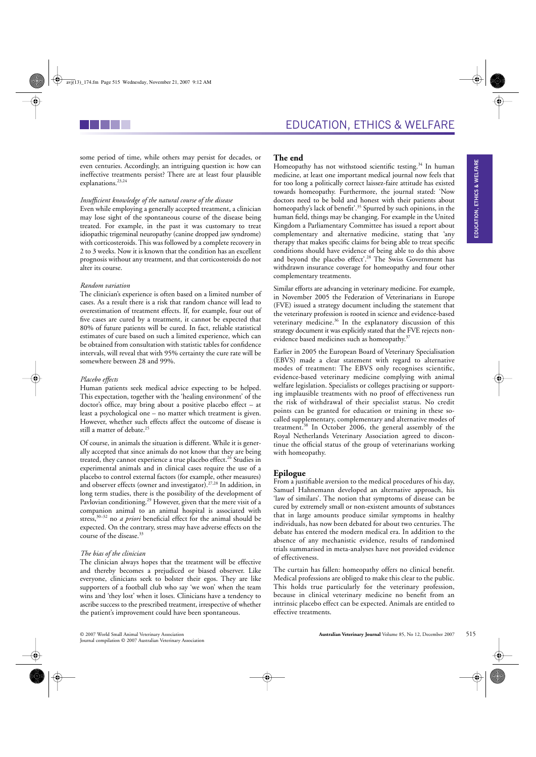

some period of time, while others may persist for decades, or even centuries. Accordingly, an intriguing question is: how can ineffective treatments persist? There are at least four plausible explanations.<sup>23,24</sup>

#### *Insufficient knowledge of the natural course of the disease*

Even while employing a generally accepted treatment, a clinician may lose sight of the spontaneous course of the disease being treated. For example, in the past it was customary to treat idiopathic trigeminal neuropathy (canine dropped jaw syndrome) with corticosteroids. This was followed by a complete recovery in 2 to 3 weeks. Now it is known that the condition has an excellent prognosis without any treatment, and that corticosteroids do not alter its course.

#### *Random variation*

The clinician's experience is often based on a limited number of cases. As a result there is a risk that random chance will lead to overestimation of treatment effects. If, for example, four out of five cases are cured by a treatment, it cannot be expected that 80% of future patients will be cured. In fact, reliable statistical estimates of cure based on such a limited experience, which can be obtained from consultation with statistic tables for confidence intervals, will reveal that with 95% certainty the cure rate will be somewhere between 28 and 99%.

## *Placebo effects*

Human patients seek medical advice expecting to be helped. This expectation, together with the 'healing environment' of the doctor's office, may bring about a positive placebo effect – at least a psychological one – no matter which treatment is given. However, whether such effects affect the outcome of disease is still a matter of debate.<sup>25</sup>

Of course, in animals the situation is different. While it is generally accepted that since animals do not know that they are being treated, they cannot experience a true placebo effect.<sup>26</sup> Studies in experimental animals and in clinical cases require the use of a placebo to control external factors (for example, other measures) and observer effects (owner and investigator).<sup>27,28</sup> In addition, in long term studies, there is the possibility of the development of Pavlovian conditioning.<sup>29</sup> However, given that the mere visit of a companion animal to an animal hospital is associated with stress,30–32 no *a priori* beneficial effect for the animal should be expected. On the contrary, stress may have adverse effects on the course of the disease.<sup>33</sup>

## *The bias of the clinician*

The clinician always hopes that the treatment will be effective and thereby becomes a prejudiced or biased observer. Like everyone, clinicians seek to bolster their egos. They are like supporters of a football club who say 'we won' when the team wins and 'they lost' when it loses. Clinicians have a tendency to ascribe success to the prescribed treatment, irrespective of whether the patient's improvement could have been spontaneous.

# **The end**

Homeopathy has not withstood scientific testing.<sup>34</sup> In human medicine, at least one important medical journal now feels that for too long a politically correct laissez-faire attitude has existed towards homeopathy. Furthermore, the journal stated: 'Now doctors need to be bold and honest with their patients about homeopathy's lack of benefit'.<sup>35</sup> Spurred by such opinions, in the human field, things may be changing. For example in the United Kingdom a Parliamentary Committee has issued a report about complementary and alternative medicine, stating that 'any therapy that makes specific claims for being able to treat specific conditions should have evidence of being able to do this above and beyond the placebo effect'.<sup>28</sup> The Swiss Government has withdrawn insurance coverage for homeopathy and four other complementary treatments.

Similar efforts are advancing in veterinary medicine. For example, in November 2005 the Federation of Veterinarians in Europe (FVE) issued a strategy document including the statement that the veterinary profession is rooted in science and evidence-based veterinary medicine.<sup>36</sup> In the explanatory discussion of this strategy document it was explicitly stated that the FVE rejects nonevidence based medicines such as homeopathy.<sup>37</sup>

Earlier in 2005 the European Board of Veterinary Specialisation (EBVS) made a clear statement with regard to alternative modes of treatment: The EBVS only recognises scientific, evidence-based veterinary medicine complying with animal welfare legislation. Specialists or colleges practising or supporting implausible treatments with no proof of effectiveness run the risk of withdrawal of their specialist status. No credit points can be granted for education or training in these socalled supplementary, complementary and alternative modes of treatment.38 In October 2006, the general assembly of the Royal Netherlands Veterinary Association agreed to discontinue the official status of the group of veterinarians working with homeopathy.

## **Epilogue**

From a justifiable aversion to the medical procedures of his day, Samuel Hahnemann developed an alternative approach, his 'law of similars'. The notion that symptoms of disease can be cured by extremely small or non-existent amounts of substances that in large amounts produce similar symptoms in healthy individuals, has now been debated for about two centuries. The debate has entered the modern medical era. In addition to the absence of any mechanistic evidence, results of randomised trials summarised in meta-analyses have not provided evidence of effectiveness.

The curtain has fallen: homeopathy offers no clinical benefit. Medical professions are obliged to make this clear to the public. This holds true particularly for the veterinary profession, because in clinical veterinary medicine no benefit from an intrinsic placebo effect can be expected. Animals are entitled to effective treatments.